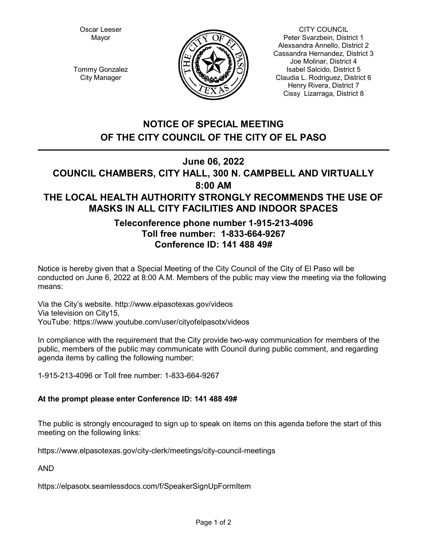Oscar Leeser Mayor



CITY COUNCIL Peter Svarzbein, District 1 Alexsandra Annello, District 2 Cassandra Hernandez, District 3 Joe Molinar, District 4 Isabel Salcido, District 5 Claudia L. Rodriguez, District 6 Henry Rivera, District 7 Cissy Lizarraga, District 8

Tommy Gonzalez City Manager

# **NOTICE OF SPECIAL MEETING OF THE CITY COUNCIL OF THE CITY OF EL PASO**

**June 06, 2022**

## **COUNCIL CHAMBERS, CITY HALL, 300 N. CAMPBELL AND VIRTUALLY 8:00 AM THE LOCAL HEALTH AUTHORITY STRONGLY RECOMMENDS THE USE OF MASKS IN ALL CITY FACILITIES AND INDOOR SPACES**

## **Teleconference phone number 1-915-213-4096 Toll free number: 1-833-664-9267 Conference ID: 141 488 49#**

Notice is hereby given that a Special Meeting of the City Council of the City of El Paso will be conducted on June 6, 2022 at 8:00 A.M. Members of the public may view the meeting via the following means:

Via the City's website. http://www.elpasotexas.gov/videos Via television on City15, YouTube: https://www.youtube.com/user/cityofelpasotx/videos

In compliance with the requirement that the City provide two-way communication for members of the public, members of the public may communicate with Council during public comment, and regarding agenda items by calling the following number:

1-915-213-4096 or Toll free number: 1-833-664-9267

## **At the prompt please enter Conference ID: 141 488 49#**

The public is strongly encouraged to sign up to speak on items on this agenda before the start of this meeting on the following links:

https://www.elpasotexas.gov/city-clerk/meetings/city-council-meetings

AND

https://elpasotx.seamlessdocs.com/f/SpeakerSignUpFormItem